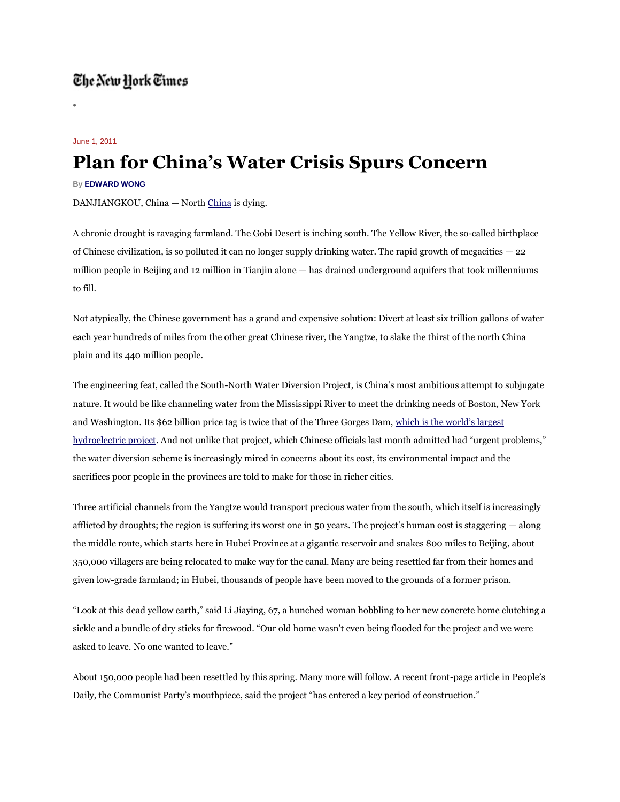## June 1, 2011

 $\bullet$ 

## **Plan for China's Water Crisis Spurs Concern**

## **By [EDWARD WONG](http://topics.nytimes.com/top/reference/timestopics/people/w/edward_wong/index.html?inline=nyt-per)**

DANJIANGKOU, China — North [China](http://topics.nytimes.com/top/news/international/countriesandterritories/china/index.html?inline=nyt-geo) is dying.

A chronic drought is ravaging farmland. The Gobi Desert is inching south. The Yellow River, the so-called birthplace of Chinese civilization, is so polluted it can no longer supply drinking water. The rapid growth of megacities  $-22$ million people in Beijing and 12 million in Tianjin alone — has drained underground aquifers that took millenniums to fill.

Not atypically, the Chinese government has a grand and expensive solution: Divert at least six trillion gallons of water each year hundreds of miles from the other great Chinese river, the Yangtze, to slake the thirst of the north China plain and its 440 million people.

The engineering feat, called the South-North Water Diversion Project, is China's most ambitious attempt to subjugate nature. It would be like channeling water from the Mississippi River to meet the drinking needs of Boston, New York and Washington. Its \$62 billion price tag is twice that of the Three Gorges Dam, [which is the world's largest](http://www.nytimes.com/2011/05/20/world/asia/20gorges.html)  [hydroelectric project.](http://www.nytimes.com/2011/05/20/world/asia/20gorges.html) And not unlike that project, which Chinese officials last month admitted had "urgent problems," the water diversion scheme is increasingly mired in concerns about its cost, its environmental impact and the sacrifices poor people in the provinces are told to make for those in richer cities.

Three artificial channels from the Yangtze would transport precious water from the south, which itself is increasingly afflicted by droughts; the region is suffering its worst one in 50 years. The project's human cost is staggering — along the middle route, which starts here in Hubei Province at a gigantic reservoir and snakes 800 miles to Beijing, about 350,000 villagers are being relocated to make way for the canal. Many are being resettled far from their homes and given low-grade farmland; in Hubei, thousands of people have been moved to the grounds of a former prison.

"Look at this dead yellow earth," said Li Jiaying, 67, a hunched woman hobbling to her new concrete home clutching a sickle and a bundle of dry sticks for firewood. "Our old home wasn't even being flooded for the project and we were asked to leave. No one wanted to leave."

About 150,000 people had been resettled by this spring. Many more will follow. A recent front-page article in People's Daily, the Communist Party's mouthpiece, said the project "has entered a key period of construction."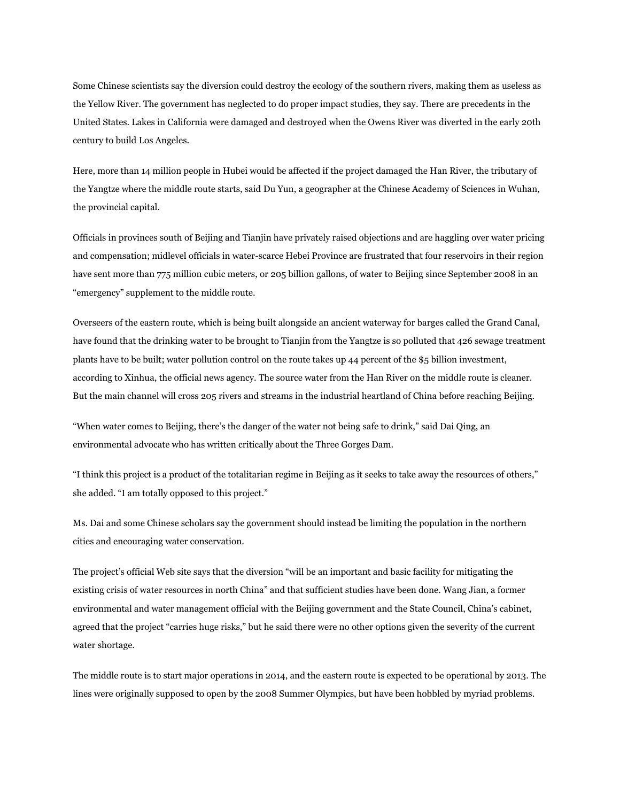Some Chinese scientists say the diversion could destroy the ecology of the southern rivers, making them as useless as the Yellow River. The government has neglected to do proper impact studies, they say. There are precedents in the United States. Lakes in California were damaged and destroyed when the Owens River was diverted in the early 20th century to build Los Angeles.

Here, more than 14 million people in Hubei would be affected if the project damaged the Han River, the tributary of the Yangtze where the middle route starts, said Du Yun, a geographer at the Chinese Academy of Sciences in Wuhan, the provincial capital.

Officials in provinces south of Beijing and Tianjin have privately raised objections and are haggling over water pricing and compensation; midlevel officials in water-scarce Hebei Province are frustrated that four reservoirs in their region have sent more than 775 million cubic meters, or 205 billion gallons, of water to Beijing since September 2008 in an "emergency" supplement to the middle route.

Overseers of the eastern route, which is being built alongside an ancient waterway for barges called the Grand Canal, have found that the drinking water to be brought to Tianjin from the Yangtze is so polluted that 426 sewage treatment plants have to be built; water pollution control on the route takes up 44 percent of the \$5 billion investment, according to Xinhua, the official news agency. The source water from the Han River on the middle route is cleaner. But the main channel will cross 205 rivers and streams in the industrial heartland of China before reaching Beijing.

"When water comes to Beijing, there's the danger of the water not being safe to drink," said Dai Qing, an environmental advocate who has written critically about the Three Gorges Dam.

"I think this project is a product of the totalitarian regime in Beijing as it seeks to take away the resources of others," she added. "I am totally opposed to this project."

Ms. Dai and some Chinese scholars say the government should instead be limiting the population in the northern cities and encouraging water conservation.

The project's official Web site says that the diversion "will be an important and basic facility for mitigating the existing crisis of water resources in north China" and that sufficient studies have been done. Wang Jian, a former environmental and water management official with the Beijing government and the State Council, China's cabinet, agreed that the project "carries huge risks," but he said there were no other options given the severity of the current water shortage.

The middle route is to start major operations in 2014, and the eastern route is expected to be operational by 2013. The lines were originally supposed to open by the 2008 Summer Olympics, but have been hobbled by myriad problems.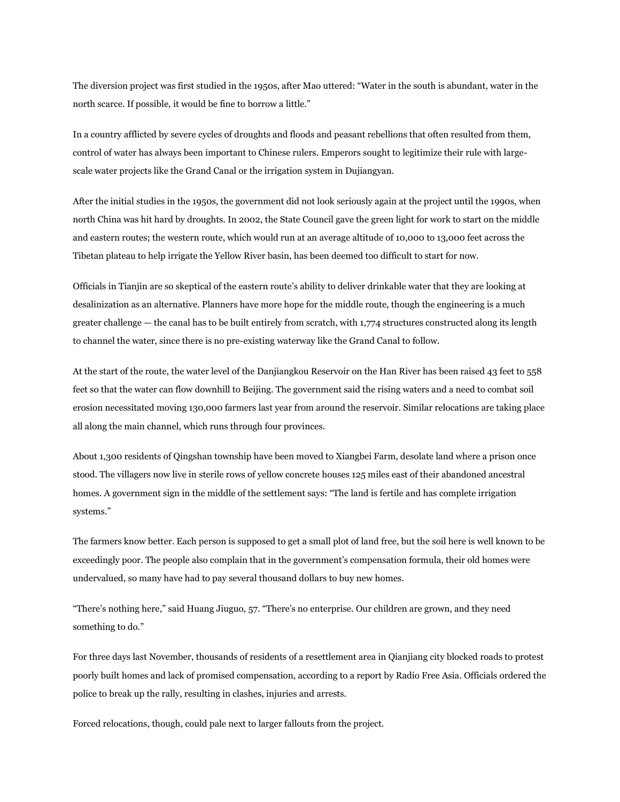The diversion project was first studied in the 1950s, after Mao uttered: "Water in the south is abundant, water in the north scarce. If possible, it would be fine to borrow a little."

In a country afflicted by severe cycles of droughts and floods and peasant rebellions that often resulted from them, control of water has always been important to Chinese rulers. Emperors sought to legitimize their rule with largescale water projects like the Grand Canal or the irrigation system in Dujiangyan.

After the initial studies in the 1950s, the government did not look seriously again at the project until the 1990s, when north China was hit hard by droughts. In 2002, the State Council gave the green light for work to start on the middle and eastern routes; the western route, which would run at an average altitude of 10,000 to 13,000 feet across the Tibetan plateau to help irrigate the Yellow River basin, has been deemed too difficult to start for now.

Officials in Tianjin are so skeptical of the eastern route's ability to deliver drinkable water that they are looking at desalinization as an alternative. Planners have more hope for the middle route, though the engineering is a much greater challenge — the canal has to be built entirely from scratch, with 1,774 structures constructed along its length to channel the water, since there is no pre-existing waterway like the Grand Canal to follow.

At the start of the route, the water level of the Danjiangkou Reservoir on the Han River has been raised 43 feet to 558 feet so that the water can flow downhill to Beijing. The government said the rising waters and a need to combat soil erosion necessitated moving 130,000 farmers last year from around the reservoir. Similar relocations are taking place all along the main channel, which runs through four provinces.

About 1,300 residents of Qingshan township have been moved to Xiangbei Farm, desolate land where a prison once stood. The villagers now live in sterile rows of yellow concrete houses 125 miles east of their abandoned ancestral homes. A government sign in the middle of the settlement says: "The land is fertile and has complete irrigation systems."

The farmers know better. Each person is supposed to get a small plot of land free, but the soil here is well known to be exceedingly poor. The people also complain that in the government's compensation formula, their old homes were undervalued, so many have had to pay several thousand dollars to buy new homes.

"There's nothing here," said Huang Jiuguo, 57. "There's no enterprise. Our children are grown, and they need something to do."

For three days last November, thousands of residents of a resettlement area in Qianjiang city blocked roads to protest poorly built homes and lack of promised compensation, according to a report by Radio Free Asia. Officials ordered the police to break up the rally, resulting in clashes, injuries and arrests.

Forced relocations, though, could pale next to larger fallouts from the project.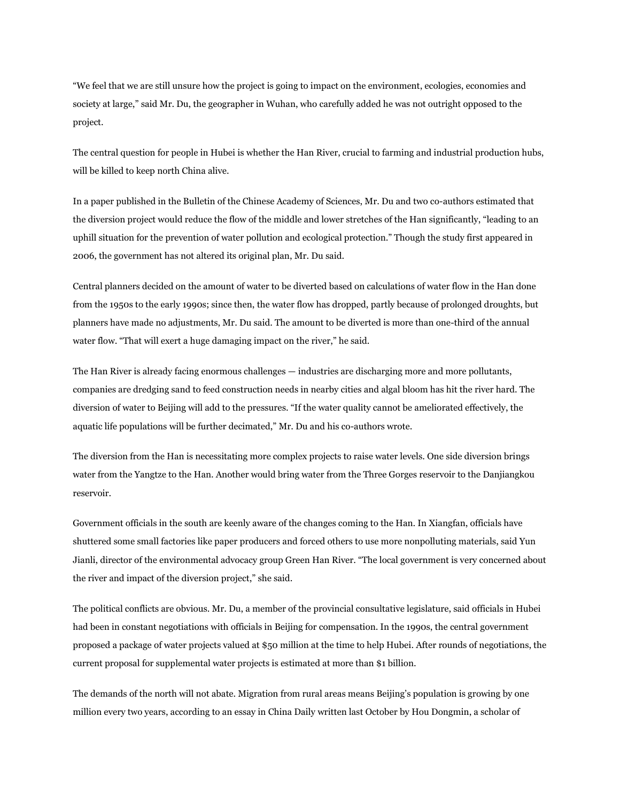"We feel that we are still unsure how the project is going to impact on the environment, ecologies, economies and society at large," said Mr. Du, the geographer in Wuhan, who carefully added he was not outright opposed to the project.

The central question for people in Hubei is whether the Han River, crucial to farming and industrial production hubs, will be killed to keep north China alive.

In a paper published in the Bulletin of the Chinese Academy of Sciences, Mr. Du and two co-authors estimated that the diversion project would reduce the flow of the middle and lower stretches of the Han significantly, "leading to an uphill situation for the prevention of water pollution and ecological protection." Though the study first appeared in 2006, the government has not altered its original plan, Mr. Du said.

Central planners decided on the amount of water to be diverted based on calculations of water flow in the Han done from the 1950s to the early 1990s; since then, the water flow has dropped, partly because of prolonged droughts, but planners have made no adjustments, Mr. Du said. The amount to be diverted is more than one-third of the annual water flow. "That will exert a huge damaging impact on the river," he said.

The Han River is already facing enormous challenges — industries are discharging more and more pollutants, companies are dredging sand to feed construction needs in nearby cities and algal bloom has hit the river hard. The diversion of water to Beijing will add to the pressures. "If the water quality cannot be ameliorated effectively, the aquatic life populations will be further decimated," Mr. Du and his co-authors wrote.

The diversion from the Han is necessitating more complex projects to raise water levels. One side diversion brings water from the Yangtze to the Han. Another would bring water from the Three Gorges reservoir to the Danjiangkou reservoir.

Government officials in the south are keenly aware of the changes coming to the Han. In Xiangfan, officials have shuttered some small factories like paper producers and forced others to use more nonpolluting materials, said Yun Jianli, director of the environmental advocacy group Green Han River. "The local government is very concerned about the river and impact of the diversion project," she said.

The political conflicts are obvious. Mr. Du, a member of the provincial consultative legislature, said officials in Hubei had been in constant negotiations with officials in Beijing for compensation. In the 1990s, the central government proposed a package of water projects valued at \$50 million at the time to help Hubei. After rounds of negotiations, the current proposal for supplemental water projects is estimated at more than \$1 billion.

The demands of the north will not abate. Migration from rural areas means Beijing's population is growing by one million every two years, according to an essay in China Daily written last October by Hou Dongmin, a scholar of